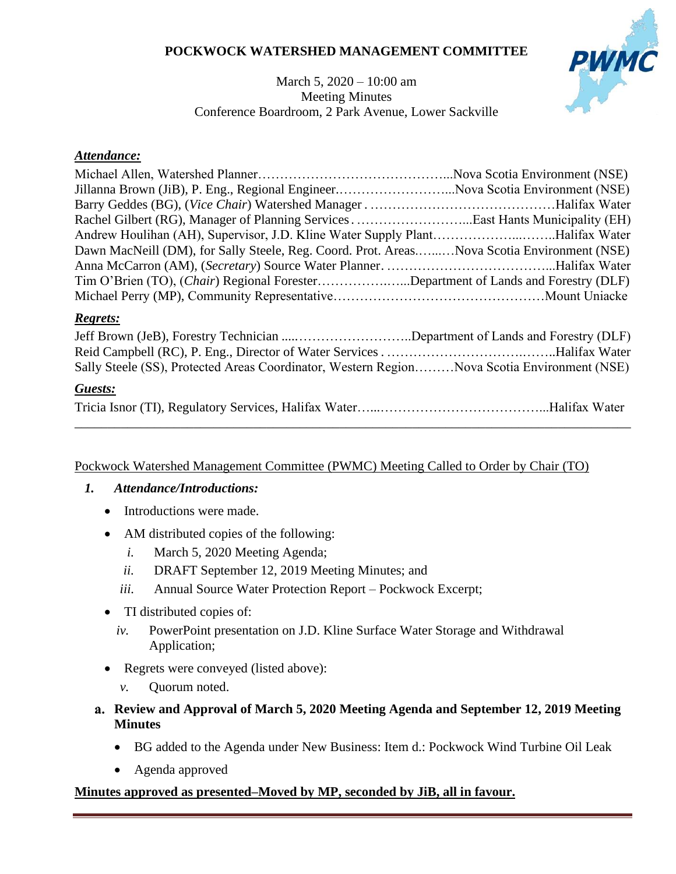### **POCKWOCK WATERSHED MANAGEMENT COMMITTEE**

# PWMC

March 5, 2020 – 10:00 am Meeting Minutes Conference Boardroom, 2 Park Avenue, Lower Sackville

#### *Attendance:*

| Jillanna Brown (JiB), P. Eng., Regional EngineerNova Scotia Environment (NSE)              |  |
|--------------------------------------------------------------------------------------------|--|
|                                                                                            |  |
|                                                                                            |  |
| Andrew Houlihan (AH), Supervisor, J.D. Kline Water Supply PlantHalifax Water               |  |
| Dawn MacNeill (DM), for Sally Steele, Reg. Coord. Prot. AreasNova Scotia Environment (NSE) |  |
|                                                                                            |  |
| Tim O'Brien (TO), (Chair) Regional ForesterDepartment of Lands and Forestry (DLF)          |  |
|                                                                                            |  |

#### *Regrets:*

| Jeff Brown (JeB), Forestry Technician Department of Lands and Forestry (DLF)                |  |
|---------------------------------------------------------------------------------------------|--|
|                                                                                             |  |
| Sally Steele (SS), Protected Areas Coordinator, Western RegionNova Scotia Environment (NSE) |  |

### *Guests:*

#### Pockwock Watershed Management Committee (PWMC) Meeting Called to Order by Chair (TO)

### <span id="page-0-0"></span>*1. Attendance/Introductions:*

- Introductions were made.
- AM distributed copies of the following:
	- *i.* March 5, 2020 Meeting Agenda;
	- *ii.* DRAFT September 12, 2019 Meeting Minutes; and
	- *iii.* Annual Source Water Protection Report Pockwock Excerpt;
- <span id="page-0-3"></span><span id="page-0-2"></span><span id="page-0-1"></span>• TI distributed copies of:
	- *iv.* PowerPoint presentation on J.D. Kline Surface Water Storage and Withdrawal Application;
- Regrets were conveyed (listed above):
	- *v.* Quorum noted.
- **Review and Approval of March 5, 2020 Meeting Agenda and September 12, 2019 Meeting Minutes**
	- BG added to the Agenda under New Business: Item d.: Pockwock Wind Turbine Oil Leak
	- Agenda approved

#### **Minutes approved as presented–Moved by MP, seconded by JiB, all in favour.**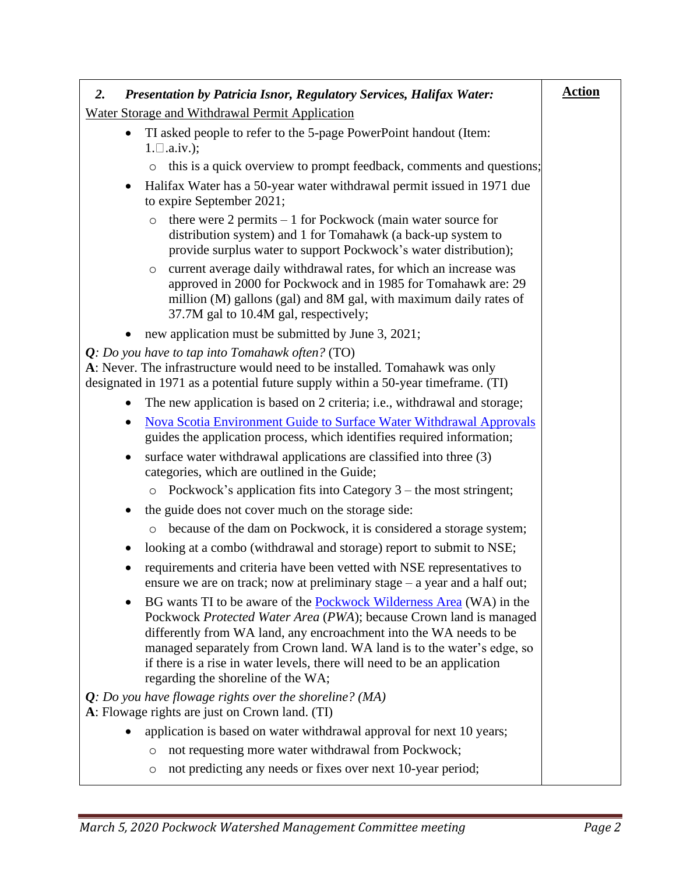<span id="page-1-0"></span>

| <b>Presentation by Patricia Isnor, Regulatory Services, Halifax Water:</b><br>2.                                                                                                                                                                                                                                                                                                                                         | <b>Action</b> |
|--------------------------------------------------------------------------------------------------------------------------------------------------------------------------------------------------------------------------------------------------------------------------------------------------------------------------------------------------------------------------------------------------------------------------|---------------|
| Water Storage and Withdrawal Permit Application                                                                                                                                                                                                                                                                                                                                                                          |               |
| TI asked people to refer to the 5-page PowerPoint handout (Item:<br>$1. \Box$ .a.iv.);                                                                                                                                                                                                                                                                                                                                   |               |
| this is a quick overview to prompt feedback, comments and questions;<br>$\circ$                                                                                                                                                                                                                                                                                                                                          |               |
| Halifax Water has a 50-year water withdrawal permit issued in 1971 due<br>$\bullet$<br>to expire September 2021;                                                                                                                                                                                                                                                                                                         |               |
| there were $2$ permits $-1$ for Pockwock (main water source for<br>$\circ$<br>distribution system) and 1 for Tomahawk (a back-up system to<br>provide surplus water to support Pockwock's water distribution);                                                                                                                                                                                                           |               |
| current average daily withdrawal rates, for which an increase was<br>$\circ$<br>approved in 2000 for Pockwock and in 1985 for Tomahawk are: 29<br>million (M) gallons (gal) and 8M gal, with maximum daily rates of<br>37.7M gal to 10.4M gal, respectively;                                                                                                                                                             |               |
| new application must be submitted by June 3, 2021;                                                                                                                                                                                                                                                                                                                                                                       |               |
| $Q: Do$ you have to tap into Tomahawk often? (TO)<br>A: Never. The infrastructure would need to be installed. Tomahawk was only<br>designated in 1971 as a potential future supply within a 50-year timeframe. (TI)                                                                                                                                                                                                      |               |
| The new application is based on 2 criteria; i.e., withdrawal and storage;<br>$\bullet$                                                                                                                                                                                                                                                                                                                                   |               |
| <b>Nova Scotia Environment Guide to Surface Water Withdrawal Approvals</b><br>$\bullet$<br>guides the application process, which identifies required information;                                                                                                                                                                                                                                                        |               |
| surface water withdrawal applications are classified into three (3)<br>$\bullet$<br>categories, which are outlined in the Guide;                                                                                                                                                                                                                                                                                         |               |
| Pockwock's application fits into Category $3$ – the most stringent;<br>$\circ$                                                                                                                                                                                                                                                                                                                                           |               |
| the guide does not cover much on the storage side:<br>$\bullet$                                                                                                                                                                                                                                                                                                                                                          |               |
| because of the dam on Pockwock, it is considered a storage system;<br>$\circ$                                                                                                                                                                                                                                                                                                                                            |               |
| looking at a combo (withdrawal and storage) report to submit to NSE;<br>٠                                                                                                                                                                                                                                                                                                                                                |               |
| requirements and criteria have been vetted with NSE representatives to<br>ensure we are on track; now at preliminary stage $-$ a year and a half out;                                                                                                                                                                                                                                                                    |               |
| BG wants TI to be aware of the Pockwock Wilderness Area (WA) in the<br>$\bullet$<br>Pockwock Protected Water Area (PWA); because Crown land is managed<br>differently from WA land, any encroachment into the WA needs to be<br>managed separately from Crown land. WA land is to the water's edge, so<br>if there is a rise in water levels, there will need to be an application<br>regarding the shoreline of the WA; |               |
| $Q: Do$ you have flowage rights over the shoreline? (MA)<br>A: Flowage rights are just on Crown land. (TI)                                                                                                                                                                                                                                                                                                               |               |
| application is based on water withdrawal approval for next 10 years;                                                                                                                                                                                                                                                                                                                                                     |               |
| not requesting more water withdrawal from Pockwock;<br>$\circ$                                                                                                                                                                                                                                                                                                                                                           |               |
| not predicting any needs or fixes over next 10-year period;<br>O                                                                                                                                                                                                                                                                                                                                                         |               |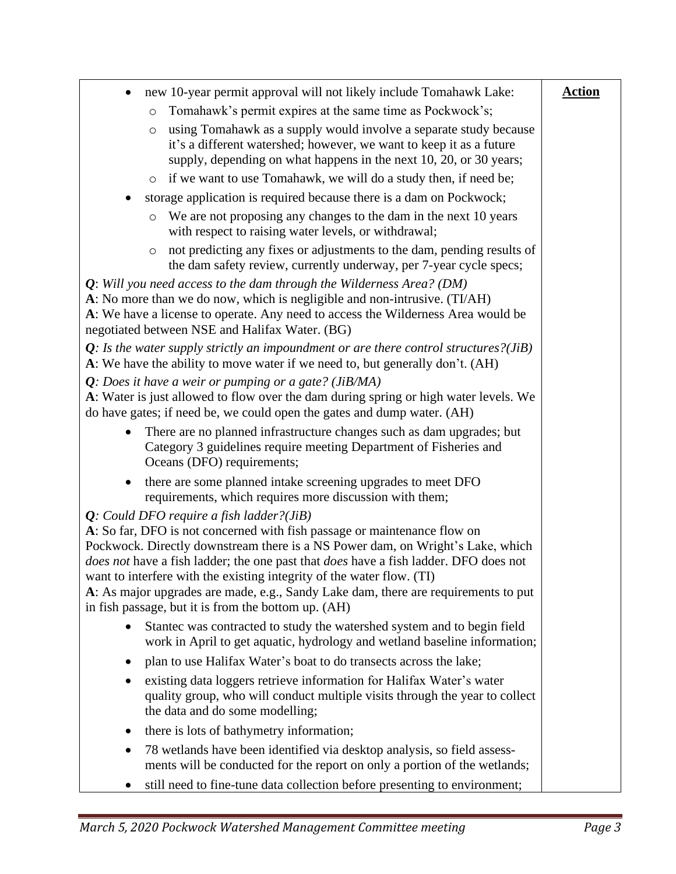| new 10-year permit approval will not likely include Tomahawk Lake:<br>$\bullet$                                                                                                                                                                                                                                                                                                                                                                                                                                                       | <b>Action</b> |
|---------------------------------------------------------------------------------------------------------------------------------------------------------------------------------------------------------------------------------------------------------------------------------------------------------------------------------------------------------------------------------------------------------------------------------------------------------------------------------------------------------------------------------------|---------------|
| Tomahawk's permit expires at the same time as Pockwock's;<br>$\circ$                                                                                                                                                                                                                                                                                                                                                                                                                                                                  |               |
| using Tomahawk as a supply would involve a separate study because<br>$\circ$<br>it's a different watershed; however, we want to keep it as a future<br>supply, depending on what happens in the next 10, 20, or 30 years;                                                                                                                                                                                                                                                                                                             |               |
| if we want to use Tomahawk, we will do a study then, if need be;<br>$\circ$                                                                                                                                                                                                                                                                                                                                                                                                                                                           |               |
| storage application is required because there is a dam on Pockwock;                                                                                                                                                                                                                                                                                                                                                                                                                                                                   |               |
| We are not proposing any changes to the dam in the next 10 years<br>$\circlearrowright$<br>with respect to raising water levels, or withdrawal;                                                                                                                                                                                                                                                                                                                                                                                       |               |
| not predicting any fixes or adjustments to the dam, pending results of<br>$\circ$<br>the dam safety review, currently underway, per 7-year cycle specs;                                                                                                                                                                                                                                                                                                                                                                               |               |
| $Q$ : Will you need access to the dam through the Wilderness Area? (DM)<br>A: No more than we do now, which is negligible and non-intrusive. (TI/AH)<br>A: We have a license to operate. Any need to access the Wilderness Area would be<br>negotiated between NSE and Halifax Water. (BG)                                                                                                                                                                                                                                            |               |
| $Q$ : Is the water supply strictly an impoundment or are there control structures?( <i>JiB</i> )<br>A: We have the ability to move water if we need to, but generally don't. (AH)                                                                                                                                                                                                                                                                                                                                                     |               |
| Q: Does it have a weir or pumping or a gate? ( $J$ iB/MA)<br>A: Water is just allowed to flow over the dam during spring or high water levels. We<br>do have gates; if need be, we could open the gates and dump water. (AH)                                                                                                                                                                                                                                                                                                          |               |
| There are no planned infrastructure changes such as dam upgrades; but<br>$\bullet$<br>Category 3 guidelines require meeting Department of Fisheries and<br>Oceans (DFO) requirements;                                                                                                                                                                                                                                                                                                                                                 |               |
| there are some planned intake screening upgrades to meet DFO<br>$\bullet$<br>requirements, which requires more discussion with them;                                                                                                                                                                                                                                                                                                                                                                                                  |               |
| $Q$ : Could DFO require a fish ladder?(JiB)<br>A: So far, DFO is not concerned with fish passage or maintenance flow on<br>Pockwock. Directly downstream there is a NS Power dam, on Wright's Lake, which<br><i>does not</i> have a fish ladder; the one past that <i>does</i> have a fish ladder. DFO does not<br>want to interfere with the existing integrity of the water flow. (TI)<br>A: As major upgrades are made, e.g., Sandy Lake dam, there are requirements to put<br>in fish passage, but it is from the bottom up. (AH) |               |
| Stantec was contracted to study the watershed system and to begin field<br>work in April to get aquatic, hydrology and wetland baseline information;                                                                                                                                                                                                                                                                                                                                                                                  |               |
| plan to use Halifax Water's boat to do transects across the lake;<br>$\bullet$                                                                                                                                                                                                                                                                                                                                                                                                                                                        |               |
| existing data loggers retrieve information for Halifax Water's water<br>٠<br>quality group, who will conduct multiple visits through the year to collect<br>the data and do some modelling;                                                                                                                                                                                                                                                                                                                                           |               |
| there is lots of bathymetry information;                                                                                                                                                                                                                                                                                                                                                                                                                                                                                              |               |
| 78 wetlands have been identified via desktop analysis, so field assess-<br>ments will be conducted for the report on only a portion of the wetlands;                                                                                                                                                                                                                                                                                                                                                                                  |               |
| still need to fine-tune data collection before presenting to environment;                                                                                                                                                                                                                                                                                                                                                                                                                                                             |               |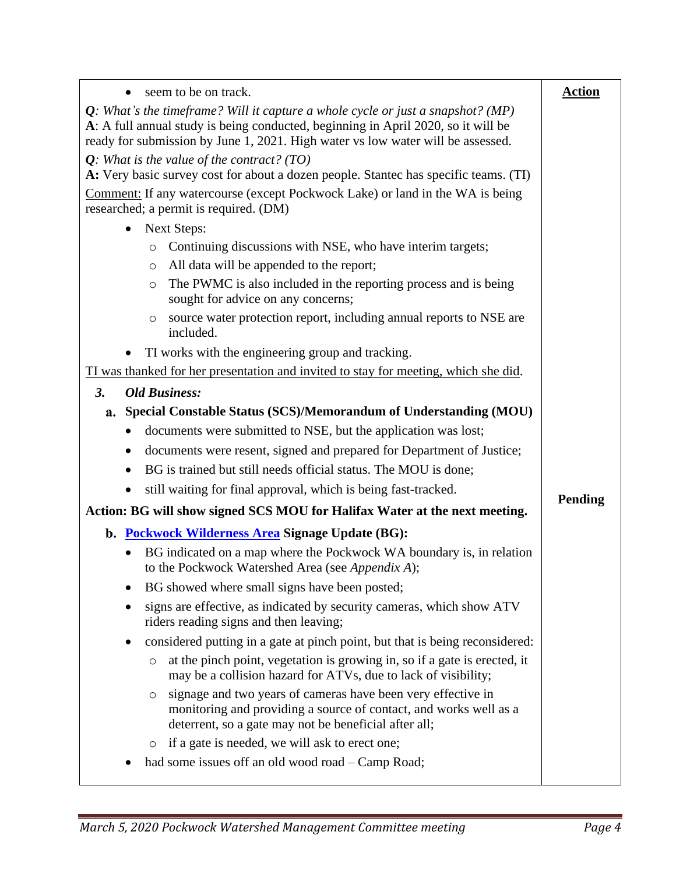| seem to be on track.                                                                                                                                                                                  | <b>Action</b> |
|-------------------------------------------------------------------------------------------------------------------------------------------------------------------------------------------------------|---------------|
| $Q$ : What's the timeframe? Will it capture a whole cycle or just a snapshot? (MP)                                                                                                                    |               |
| A: A full annual study is being conducted, beginning in April 2020, so it will be                                                                                                                     |               |
| ready for submission by June 1, 2021. High water vs low water will be assessed.                                                                                                                       |               |
| $Q$ : What is the value of the contract? (TO)<br>A: Very basic survey cost for about a dozen people. Stantec has specific teams. (TI)                                                                 |               |
| <b>Comment:</b> If any watercourse (except Pockwock Lake) or land in the WA is being                                                                                                                  |               |
| researched; a permit is required. (DM)                                                                                                                                                                |               |
| <b>Next Steps:</b><br>$\bullet$                                                                                                                                                                       |               |
| Continuing discussions with NSE, who have interim targets;<br>$\circ$                                                                                                                                 |               |
| All data will be appended to the report;<br>$\circlearrowright$                                                                                                                                       |               |
| The PWMC is also included in the reporting process and is being<br>$\circ$<br>sought for advice on any concerns;                                                                                      |               |
| source water protection report, including annual reports to NSE are<br>$\circ$<br>included.                                                                                                           |               |
| TI works with the engineering group and tracking.                                                                                                                                                     |               |
| TI was thanked for her presentation and invited to stay for meeting, which she did.                                                                                                                   |               |
| <b>3.</b><br><b>Old Business:</b>                                                                                                                                                                     |               |
| a. Special Constable Status (SCS)/Memorandum of Understanding (MOU)                                                                                                                                   |               |
| documents were submitted to NSE, but the application was lost;<br>$\bullet$                                                                                                                           |               |
| documents were resent, signed and prepared for Department of Justice;<br>٠                                                                                                                            |               |
| BG is trained but still needs official status. The MOU is done;<br>٠                                                                                                                                  |               |
| still waiting for final approval, which is being fast-tracked.                                                                                                                                        |               |
| Action: BG will show signed SCS MOU for Halifax Water at the next meeting.                                                                                                                            | Pending       |
| b. Pockwock Wilderness Area Signage Update (BG):                                                                                                                                                      |               |
| BG indicated on a map where the Pockwock WA boundary is, in relation<br>to the Pockwock Watershed Area (see Appendix A);                                                                              |               |
| BG showed where small signs have been posted;<br>$\bullet$                                                                                                                                            |               |
| signs are effective, as indicated by security cameras, which show ATV<br>$\bullet$<br>riders reading signs and then leaving;                                                                          |               |
| considered putting in a gate at pinch point, but that is being reconsidered:                                                                                                                          |               |
| at the pinch point, vegetation is growing in, so if a gate is erected, it<br>$\circlearrowright$<br>may be a collision hazard for ATVs, due to lack of visibility;                                    |               |
| signage and two years of cameras have been very effective in<br>$\circ$<br>monitoring and providing a source of contact, and works well as a<br>deterrent, so a gate may not be beneficial after all; |               |
| if a gate is needed, we will ask to erect one;<br>$\circ$                                                                                                                                             |               |
| had some issues off an old wood road – Camp Road;                                                                                                                                                     |               |
|                                                                                                                                                                                                       |               |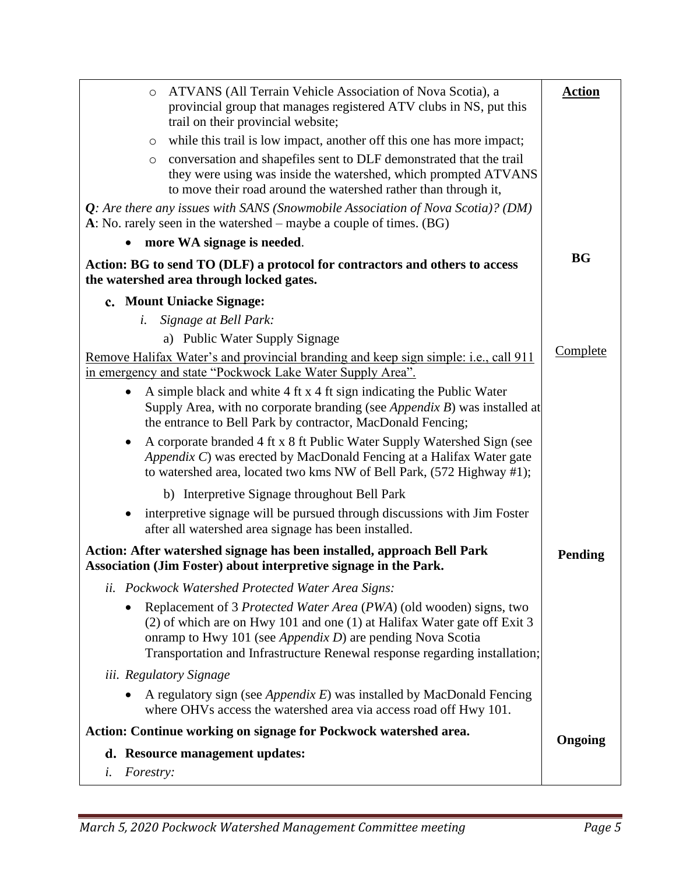| ATVANS (All Terrain Vehicle Association of Nova Scotia), a<br>$\circ$<br>provincial group that manages registered ATV clubs in NS, put this<br>trail on their provincial website;                                                                                                              | <b>Action</b> |
|------------------------------------------------------------------------------------------------------------------------------------------------------------------------------------------------------------------------------------------------------------------------------------------------|---------------|
| while this trail is low impact, another off this one has more impact;<br>O                                                                                                                                                                                                                     |               |
| conversation and shapefiles sent to DLF demonstrated that the trail<br>$\circ$<br>they were using was inside the watershed, which prompted ATVANS<br>to move their road around the watershed rather than through it,                                                                           |               |
| $Q$ : Are there any issues with SANS (Snowmobile Association of Nova Scotia)? (DM)<br>A: No. rarely seen in the watershed – maybe a couple of times. $(BG)$                                                                                                                                    |               |
| more WA signage is needed.                                                                                                                                                                                                                                                                     | <b>BG</b>     |
| Action: BG to send TO (DLF) a protocol for contractors and others to access<br>the watershed area through locked gates.                                                                                                                                                                        |               |
| c. Mount Uniacke Signage:                                                                                                                                                                                                                                                                      |               |
| Signage at Bell Park:<br>i.                                                                                                                                                                                                                                                                    |               |
| a) Public Water Supply Signage                                                                                                                                                                                                                                                                 | Complete      |
| Remove Halifax Water's and provincial branding and keep sign simple: i.e., call 911<br>in emergency and state "Pockwock Lake Water Supply Area".                                                                                                                                               |               |
| A simple black and white 4 ft x 4 ft sign indicating the Public Water<br>$\bullet$<br>Supply Area, with no corporate branding (see <i>Appendix B</i> ) was installed at<br>the entrance to Bell Park by contractor, MacDonald Fencing;                                                         |               |
| A corporate branded 4 ft x 8 ft Public Water Supply Watershed Sign (see<br>$\bullet$<br>Appendix C) was erected by MacDonald Fencing at a Halifax Water gate<br>to watershed area, located two kms NW of Bell Park, (572 Highway #1);                                                          |               |
| b) Interpretive Signage throughout Bell Park                                                                                                                                                                                                                                                   |               |
| interpretive signage will be pursued through discussions with Jim Foster<br>$\bullet$<br>after all watershed area signage has been installed.                                                                                                                                                  |               |
| Action: After watershed signage has been installed, approach Bell Park<br>Association (Jim Foster) about interpretive signage in the Park.                                                                                                                                                     | Pending       |
| ii. Pockwock Watershed Protected Water Area Signs:                                                                                                                                                                                                                                             |               |
| Replacement of 3 Protected Water Area (PWA) (old wooden) signs, two<br>(2) of which are on Hwy 101 and one (1) at Halifax Water gate off Exit 3<br>onramp to Hwy 101 (see Appendix $D$ ) are pending Nova Scotia<br>Transportation and Infrastructure Renewal response regarding installation; |               |
| iii. Regulatory Signage                                                                                                                                                                                                                                                                        |               |
| A regulatory sign (see Appendix $E$ ) was installed by MacDonald Fencing<br>where OHVs access the watershed area via access road off Hwy 101.                                                                                                                                                  |               |
| Action: Continue working on signage for Pockwock watershed area.                                                                                                                                                                                                                               |               |
| d. Resource management updates:                                                                                                                                                                                                                                                                | Ongoing       |
| Forestry:<br>i.                                                                                                                                                                                                                                                                                |               |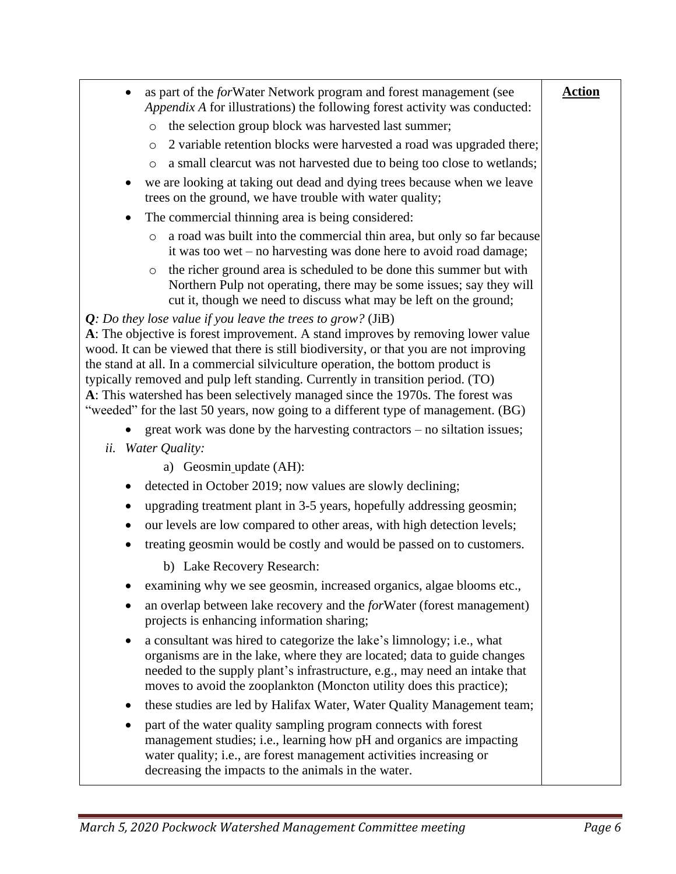| as part of the forWater Network program and forest management (see<br>Appendix A for illustrations) the following forest activity was conducted:                                                                                                                                                                                                                                                                                                                                                                                                                                         | <b>Action</b> |
|------------------------------------------------------------------------------------------------------------------------------------------------------------------------------------------------------------------------------------------------------------------------------------------------------------------------------------------------------------------------------------------------------------------------------------------------------------------------------------------------------------------------------------------------------------------------------------------|---------------|
| the selection group block was harvested last summer;<br>$\circ$                                                                                                                                                                                                                                                                                                                                                                                                                                                                                                                          |               |
| 2 variable retention blocks were harvested a road was upgraded there;<br>$\circ$                                                                                                                                                                                                                                                                                                                                                                                                                                                                                                         |               |
| a small clearcut was not harvested due to being too close to wetlands;<br>O                                                                                                                                                                                                                                                                                                                                                                                                                                                                                                              |               |
| we are looking at taking out dead and dying trees because when we leave<br>trees on the ground, we have trouble with water quality;                                                                                                                                                                                                                                                                                                                                                                                                                                                      |               |
| The commercial thinning area is being considered:<br>٠                                                                                                                                                                                                                                                                                                                                                                                                                                                                                                                                   |               |
| a road was built into the commercial thin area, but only so far because<br>$\circ$<br>it was too wet $-$ no harvesting was done here to avoid road damage;                                                                                                                                                                                                                                                                                                                                                                                                                               |               |
| the richer ground area is scheduled to be done this summer but with<br>$\circ$<br>Northern Pulp not operating, there may be some issues; say they will<br>cut it, though we need to discuss what may be left on the ground;                                                                                                                                                                                                                                                                                                                                                              |               |
| $Q$ : Do they lose value if you leave the trees to grow? (JiB)<br>A: The objective is forest improvement. A stand improves by removing lower value<br>wood. It can be viewed that there is still biodiversity, or that you are not improving<br>the stand at all. In a commercial silviculture operation, the bottom product is<br>typically removed and pulp left standing. Currently in transition period. (TO)<br>A: This watershed has been selectively managed since the 1970s. The forest was<br>"weeded" for the last 50 years, now going to a different type of management. (BG) |               |
| $\gamma$ great work was done by the harvesting contractors – no siltation issues;                                                                                                                                                                                                                                                                                                                                                                                                                                                                                                        |               |
| ii. Water Quality:                                                                                                                                                                                                                                                                                                                                                                                                                                                                                                                                                                       |               |
| a) Geosmin update (AH):                                                                                                                                                                                                                                                                                                                                                                                                                                                                                                                                                                  |               |
| detected in October 2019; now values are slowly declining;<br>٠                                                                                                                                                                                                                                                                                                                                                                                                                                                                                                                          |               |
| upgrading treatment plant in 3-5 years, hopefully addressing geosmin;<br>٠                                                                                                                                                                                                                                                                                                                                                                                                                                                                                                               |               |
| our levels are low compared to other areas, with high detection levels;                                                                                                                                                                                                                                                                                                                                                                                                                                                                                                                  |               |
| treating geosmin would be costly and would be passed on to customers.                                                                                                                                                                                                                                                                                                                                                                                                                                                                                                                    |               |
| b) Lake Recovery Research:                                                                                                                                                                                                                                                                                                                                                                                                                                                                                                                                                               |               |
| examining why we see geosmin, increased organics, algae blooms etc.,<br>$\bullet$                                                                                                                                                                                                                                                                                                                                                                                                                                                                                                        |               |
| an overlap between lake recovery and the forWater (forest management)<br>$\bullet$<br>projects is enhancing information sharing;                                                                                                                                                                                                                                                                                                                                                                                                                                                         |               |
| a consultant was hired to categorize the lake's limnology; i.e., what<br>$\bullet$<br>organisms are in the lake, where they are located; data to guide changes<br>needed to the supply plant's infrastructure, e.g., may need an intake that<br>moves to avoid the zooplankton (Moncton utility does this practice);                                                                                                                                                                                                                                                                     |               |
| these studies are led by Halifax Water, Water Quality Management team;<br>٠                                                                                                                                                                                                                                                                                                                                                                                                                                                                                                              |               |
| part of the water quality sampling program connects with forest<br>٠<br>management studies; i.e., learning how pH and organics are impacting<br>water quality; i.e., are forest management activities increasing or<br>decreasing the impacts to the animals in the water.                                                                                                                                                                                                                                                                                                               |               |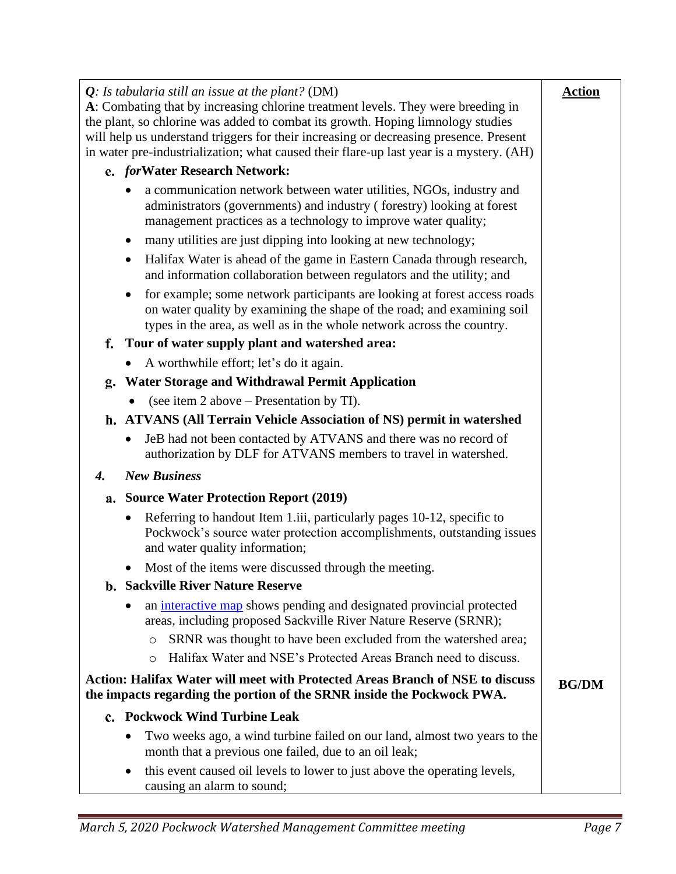|    | $Q$ : Is tabularia still an issue at the plant? (DM)                                                                                                                                                                           | <b>Action</b> |
|----|--------------------------------------------------------------------------------------------------------------------------------------------------------------------------------------------------------------------------------|---------------|
|    | A: Combating that by increasing chlorine treatment levels. They were breeding in                                                                                                                                               |               |
|    | the plant, so chlorine was added to combat its growth. Hoping limnology studies                                                                                                                                                |               |
|    | will help us understand triggers for their increasing or decreasing presence. Present                                                                                                                                          |               |
|    | in water pre-industrialization; what caused their flare-up last year is a mystery. (AH)                                                                                                                                        |               |
|    | e. forWater Research Network:                                                                                                                                                                                                  |               |
|    | a communication network between water utilities, NGOs, industry and<br>administrators (governments) and industry (forestry) looking at forest<br>management practices as a technology to improve water quality;                |               |
|    | many utilities are just dipping into looking at new technology;<br>٠                                                                                                                                                           |               |
|    | Halifax Water is ahead of the game in Eastern Canada through research,<br>and information collaboration between regulators and the utility; and                                                                                |               |
|    | for example; some network participants are looking at forest access roads<br>on water quality by examining the shape of the road; and examining soil<br>types in the area, as well as in the whole network across the country. |               |
| f. | Tour of water supply plant and watershed area:                                                                                                                                                                                 |               |
|    | A worthwhile effort; let's do it again.                                                                                                                                                                                        |               |
| g. | <b>Water Storage and Withdrawal Permit Application</b>                                                                                                                                                                         |               |
|    | (see item 2 above – Presentation by TI).<br>$\bullet$                                                                                                                                                                          |               |
|    | h. ATVANS (All Terrain Vehicle Association of NS) permit in watershed                                                                                                                                                          |               |
|    | JeB had not been contacted by ATVANS and there was no record of<br>$\bullet$<br>authorization by DLF for ATVANS members to travel in watershed.                                                                                |               |
| 4. | <b>New Business</b>                                                                                                                                                                                                            |               |
|    | a. Source Water Protection Report (2019)                                                                                                                                                                                       |               |
|    | Referring to handout Item 1.iii, particularly pages 10-12, specific to<br>Pockwock's source water protection accomplishments, outstanding issues<br>and water quality information;                                             |               |
|    | Most of the items were discussed through the meeting.                                                                                                                                                                          |               |
|    | b. Sackville River Nature Reserve                                                                                                                                                                                              |               |
|    | an <i>interactive map</i> shows pending and designated provincial protected<br>areas, including proposed Sackville River Nature Reserve (SRNR);                                                                                |               |
|    | SRNR was thought to have been excluded from the watershed area;<br>$\circ$                                                                                                                                                     |               |
|    | Halifax Water and NSE's Protected Areas Branch need to discuss.<br>$\circ$                                                                                                                                                     |               |
|    | <b>Action: Halifax Water will meet with Protected Areas Branch of NSE to discuss</b><br>the impacts regarding the portion of the SRNR inside the Pockwock PWA.                                                                 | <b>BG/DM</b>  |
|    | c. Pockwock Wind Turbine Leak                                                                                                                                                                                                  |               |
|    | Two weeks ago, a wind turbine failed on our land, almost two years to the                                                                                                                                                      |               |
|    | month that a previous one failed, due to an oil leak;                                                                                                                                                                          |               |
|    | this event caused oil levels to lower to just above the operating levels,<br>causing an alarm to sound;                                                                                                                        |               |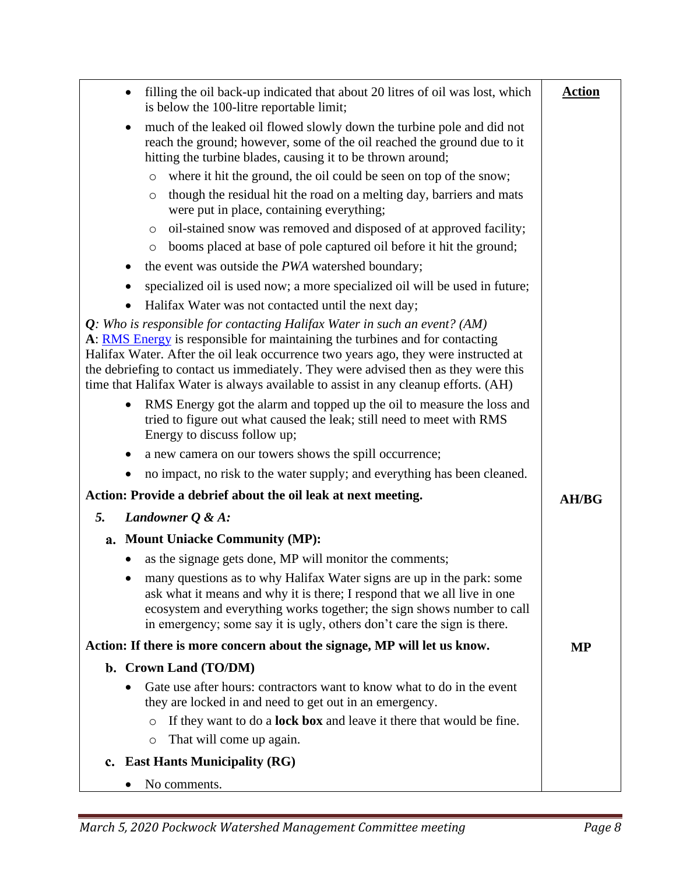| filling the oil back-up indicated that about 20 litres of oil was lost, which<br>is below the 100-litre reportable limit;                                                                                                                                                                                                                                                                                                       | <b>Action</b> |
|---------------------------------------------------------------------------------------------------------------------------------------------------------------------------------------------------------------------------------------------------------------------------------------------------------------------------------------------------------------------------------------------------------------------------------|---------------|
| much of the leaked oil flowed slowly down the turbine pole and did not<br>٠<br>reach the ground; however, some of the oil reached the ground due to it<br>hitting the turbine blades, causing it to be thrown around;                                                                                                                                                                                                           |               |
| where it hit the ground, the oil could be seen on top of the snow;<br>$\circ$                                                                                                                                                                                                                                                                                                                                                   |               |
| though the residual hit the road on a melting day, barriers and mats<br>$\circ$<br>were put in place, containing everything;                                                                                                                                                                                                                                                                                                    |               |
| oil-stained snow was removed and disposed of at approved facility;<br>$\circ$                                                                                                                                                                                                                                                                                                                                                   |               |
| booms placed at base of pole captured oil before it hit the ground;<br>$\circ$                                                                                                                                                                                                                                                                                                                                                  |               |
| the event was outside the PWA watershed boundary;<br>٠                                                                                                                                                                                                                                                                                                                                                                          |               |
| specialized oil is used now; a more specialized oil will be used in future;                                                                                                                                                                                                                                                                                                                                                     |               |
| Halifax Water was not contacted until the next day;<br>$\bullet$                                                                                                                                                                                                                                                                                                                                                                |               |
| $Q$ : Who is responsible for contacting Halifax Water in such an event? (AM)<br>A: RMS Energy is responsible for maintaining the turbines and for contacting<br>Halifax Water. After the oil leak occurrence two years ago, they were instructed at<br>the debriefing to contact us immediately. They were advised then as they were this<br>time that Halifax Water is always available to assist in any cleanup efforts. (AH) |               |
| RMS Energy got the alarm and topped up the oil to measure the loss and<br>$\bullet$<br>tried to figure out what caused the leak; still need to meet with RMS<br>Energy to discuss follow up;                                                                                                                                                                                                                                    |               |
| a new camera on our towers shows the spill occurrence;                                                                                                                                                                                                                                                                                                                                                                          |               |
| no impact, no risk to the water supply; and everything has been cleaned.<br>٠                                                                                                                                                                                                                                                                                                                                                   |               |
| Action: Provide a debrief about the oil leak at next meeting.                                                                                                                                                                                                                                                                                                                                                                   | <b>AH/BG</b>  |
| 5.<br>Landowner $Q \& A$ :                                                                                                                                                                                                                                                                                                                                                                                                      |               |
| a. Mount Uniacke Community (MP):                                                                                                                                                                                                                                                                                                                                                                                                |               |
| as the signage gets done, MP will monitor the comments;                                                                                                                                                                                                                                                                                                                                                                         |               |
| many questions as to why Halifax Water signs are up in the park: some<br>ask what it means and why it is there; I respond that we all live in one<br>ecosystem and everything works together; the sign shows number to call<br>in emergency; some say it is ugly, others don't care the sign is there.                                                                                                                          |               |
| Action: If there is more concern about the signage, MP will let us know.                                                                                                                                                                                                                                                                                                                                                        | <b>MP</b>     |
| b. Crown Land (TO/DM)                                                                                                                                                                                                                                                                                                                                                                                                           |               |
| Gate use after hours: contractors want to know what to do in the event<br>they are locked in and need to get out in an emergency.                                                                                                                                                                                                                                                                                               |               |
| If they want to do a <b>lock box</b> and leave it there that would be fine.<br>$\circ$<br>That will come up again.<br>$\circ$                                                                                                                                                                                                                                                                                                   |               |
| c. East Hants Municipality (RG)                                                                                                                                                                                                                                                                                                                                                                                                 |               |
| No comments.                                                                                                                                                                                                                                                                                                                                                                                                                    |               |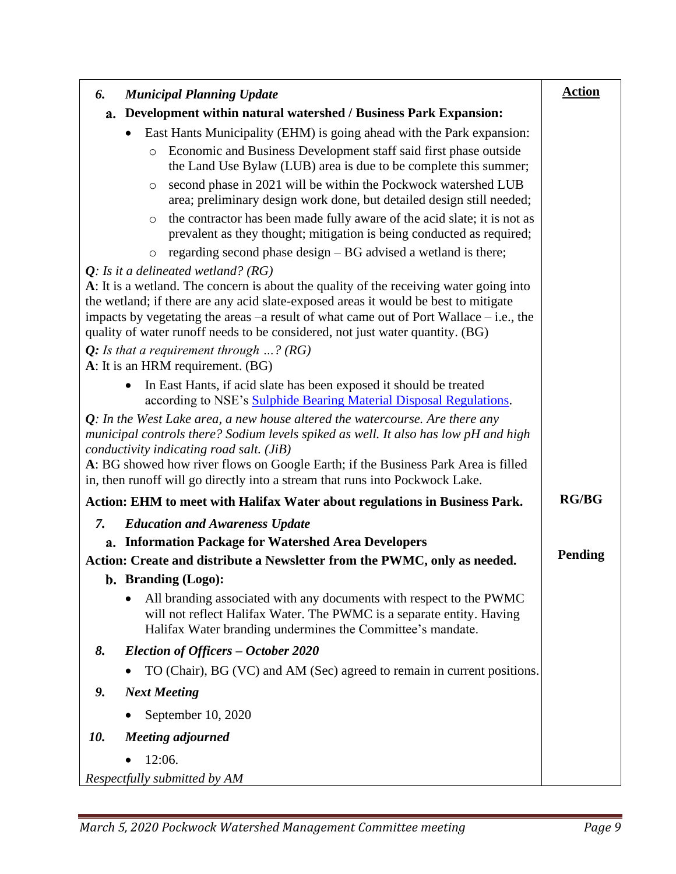| <b>Municipal Planning Update</b><br>6.                                                                                                                                                                                                                                                                                                                                                  | <b>Action</b>  |
|-----------------------------------------------------------------------------------------------------------------------------------------------------------------------------------------------------------------------------------------------------------------------------------------------------------------------------------------------------------------------------------------|----------------|
| Development within natural watershed / Business Park Expansion:<br>а.                                                                                                                                                                                                                                                                                                                   |                |
| East Hants Municipality (EHM) is going ahead with the Park expansion:                                                                                                                                                                                                                                                                                                                   |                |
| Economic and Business Development staff said first phase outside<br>$\circ$<br>the Land Use Bylaw (LUB) area is due to be complete this summer;                                                                                                                                                                                                                                         |                |
| second phase in 2021 will be within the Pockwock watershed LUB<br>$\circ$<br>area; preliminary design work done, but detailed design still needed;                                                                                                                                                                                                                                      |                |
| the contractor has been made fully aware of the acid slate; it is not as<br>$\circ$<br>prevalent as they thought; mitigation is being conducted as required;                                                                                                                                                                                                                            |                |
| regarding second phase design – BG advised a wetland is there;<br>$\circ$                                                                                                                                                                                                                                                                                                               |                |
| $Q$ : Is it a delineated wetland? (RG)                                                                                                                                                                                                                                                                                                                                                  |                |
| A: It is a wetland. The concern is about the quality of the receiving water going into<br>the wetland; if there are any acid slate-exposed areas it would be best to mitigate<br>impacts by vegetating the areas $-a$ result of what came out of Port Wallace $-i.e.,$ the<br>quality of water runoff needs to be considered, not just water quantity. (BG)                             |                |
| Q: Is that a requirement through $\ldots$ ? (RG)<br>A: It is an HRM requirement. (BG)                                                                                                                                                                                                                                                                                                   |                |
| In East Hants, if acid slate has been exposed it should be treated<br>$\bullet$<br>according to NSE's Sulphide Bearing Material Disposal Regulations.                                                                                                                                                                                                                                   |                |
| $Q$ : In the West Lake area, a new house altered the watercourse. Are there any<br>municipal controls there? Sodium levels spiked as well. It also has low pH and high<br>conductivity indicating road salt. (JiB)<br>A: BG showed how river flows on Google Earth; if the Business Park Area is filled<br>in, then runoff will go directly into a stream that runs into Pockwock Lake. |                |
| Action: EHM to meet with Halifax Water about regulations in Business Park.                                                                                                                                                                                                                                                                                                              | <b>RG/BG</b>   |
| <b>Education and Awareness Update</b><br>7.                                                                                                                                                                                                                                                                                                                                             |                |
| <b>Information Package for Watershed Area Developers</b><br>a.                                                                                                                                                                                                                                                                                                                          |                |
| Action: Create and distribute a Newsletter from the PWMC, only as needed.                                                                                                                                                                                                                                                                                                               | <b>Pending</b> |
| b. Branding (Logo):                                                                                                                                                                                                                                                                                                                                                                     |                |
| All branding associated with any documents with respect to the PWMC<br>$\bullet$<br>will not reflect Halifax Water. The PWMC is a separate entity. Having<br>Halifax Water branding undermines the Committee's mandate.                                                                                                                                                                 |                |
| 8.<br>Election of Officers – October 2020                                                                                                                                                                                                                                                                                                                                               |                |
| TO (Chair), BG (VC) and AM (Sec) agreed to remain in current positions.                                                                                                                                                                                                                                                                                                                 |                |
| <b>Next Meeting</b><br>9.                                                                                                                                                                                                                                                                                                                                                               |                |
| September 10, 2020                                                                                                                                                                                                                                                                                                                                                                      |                |
| 10.<br><b>Meeting adjourned</b>                                                                                                                                                                                                                                                                                                                                                         |                |
| 12:06.                                                                                                                                                                                                                                                                                                                                                                                  |                |
| Respectfully submitted by AM                                                                                                                                                                                                                                                                                                                                                            |                |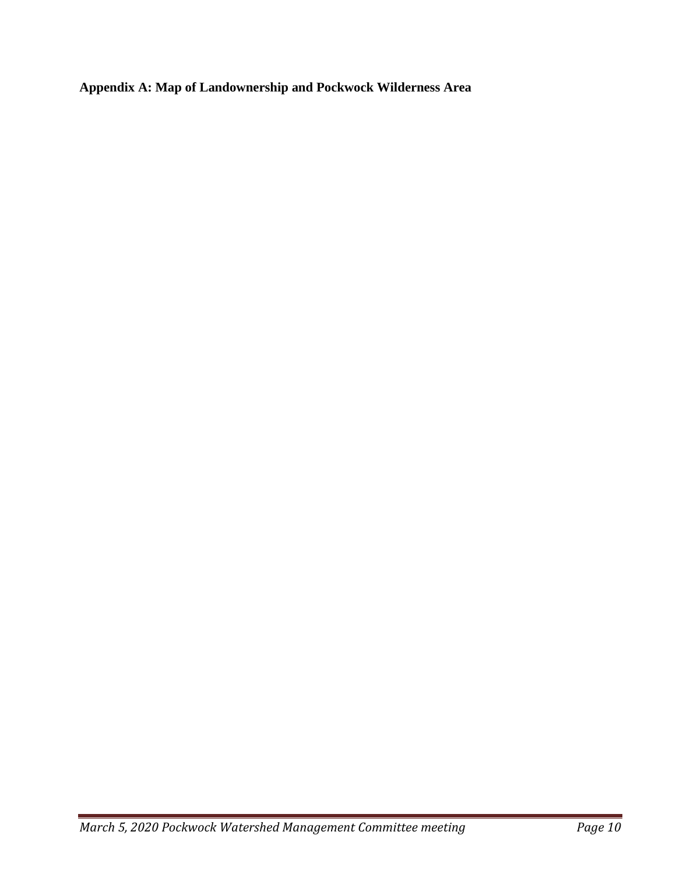<span id="page-9-0"></span>**Appendix A: Map of Landownership and Pockwock Wilderness Area**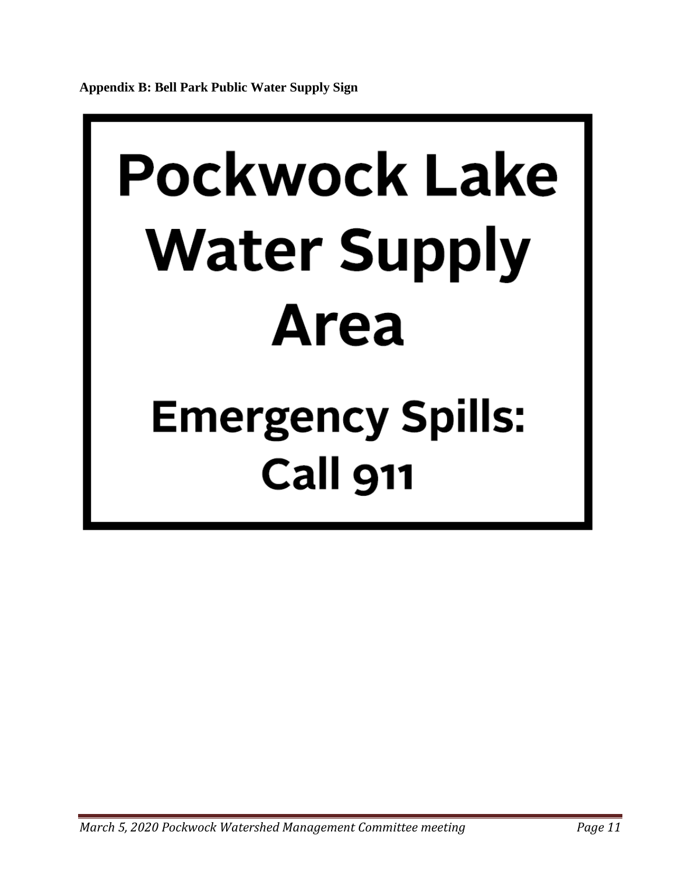## <span id="page-10-0"></span>**Pockwock Lake Water Supply Area**

### **Emergency Spills: Call 911**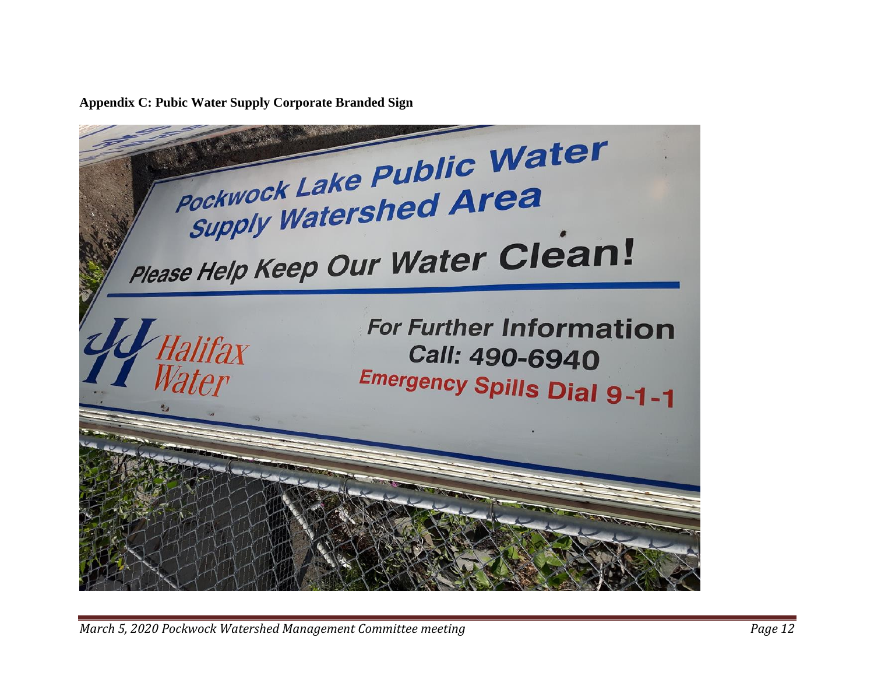**Appendix C: Pubic Water Supply Corporate Branded Sign**

<span id="page-11-0"></span>Pockwock Lake Public Water **Pockwock Lake Functional Preader** Please Help Keep Our Water Clean! **For Further Information** Halifax Call: 490-6940 *Water* **Emergency Spills Dial 9-1-1**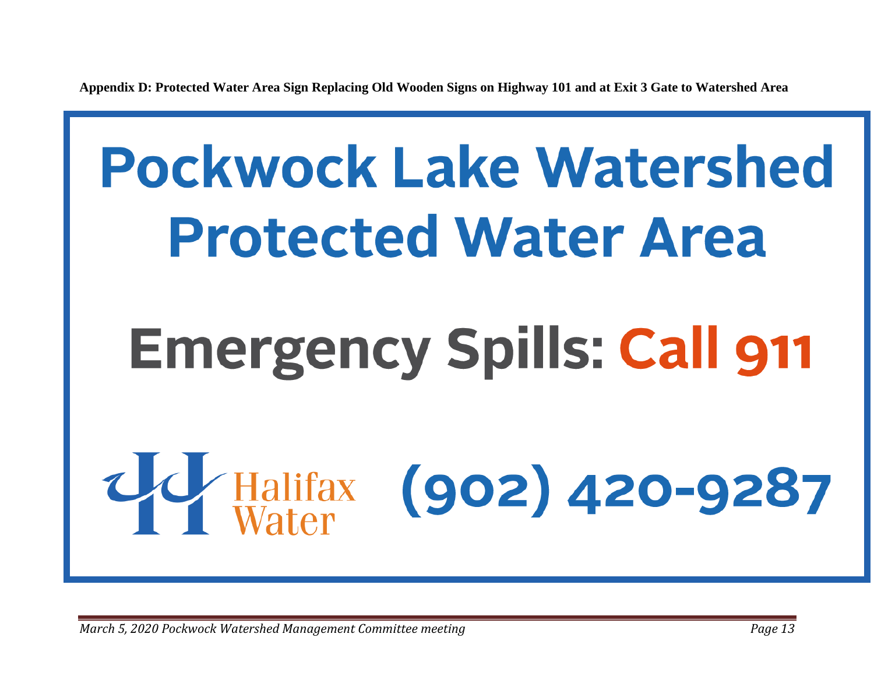**Appendix D: Protected Water Area Sign Replacing Old Wooden Signs on Highway 101 and at Exit 3 Gate to Watershed Area**

## <span id="page-12-0"></span>**Pockwock Lake Watershed Protected Water Area Emergency Spills: Call 911**  $(902)$  420-9287 Halifax<br>Water

*March 5, 2020 Pockwock Watershed Management Committee meeting Page 13*